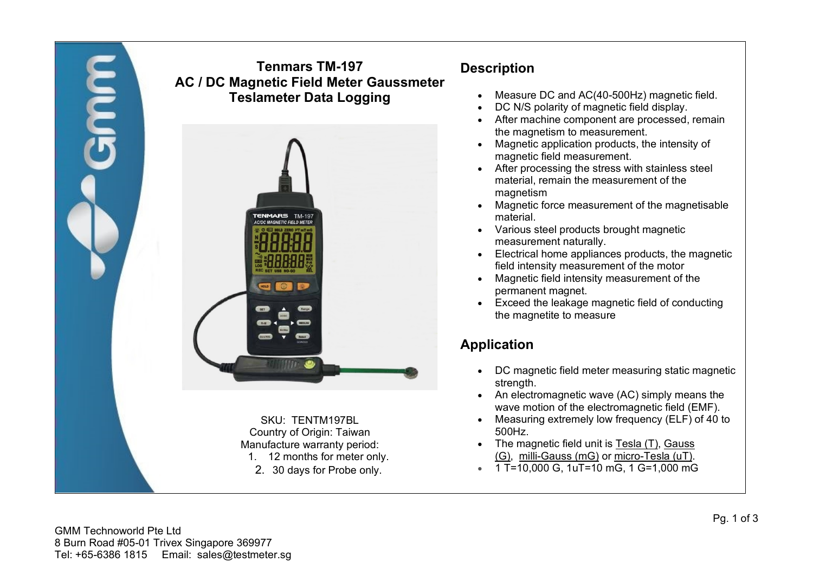

2. 30 days for Probe only.

- **Description**
	- Measure DC and AC(40-500Hz) magnetic field.
	- DC N/S polarity of magnetic field display.
	- After machine component are processed, remain the magnetism to measurement.
	- Magnetic application products, the intensity of magnetic field measurement.
	- After processing the stress with stainless steel material, remain the measurement of the magnetism
	- Magnetic force measurement of the magnetisable material.
	- Various steel products brought magnetic measurement naturally.
	- Electrical home appliances products, the magnetic field intensity measurement of the motor
	- Magnetic field intensity measurement of the permanent magnet.
	- Exceed the leakage magnetic field of conducting the magnetite to measure

# **Application**

- DC magnetic field meter measuring static magnetic strength.
- An electromagnetic wave (AC) simply means the wave motion of the electromagnetic field (EMF).
- Measuring extremely low frequency (ELF) of 40 to 500Hz.
- The magnetic field unit is Tesla (T), Gauss (G), milli-Gauss (mG) or micro-Tesla (uT).
- 1 T=10,000 G, 1uT=10 mG, 1 G=1,000 mG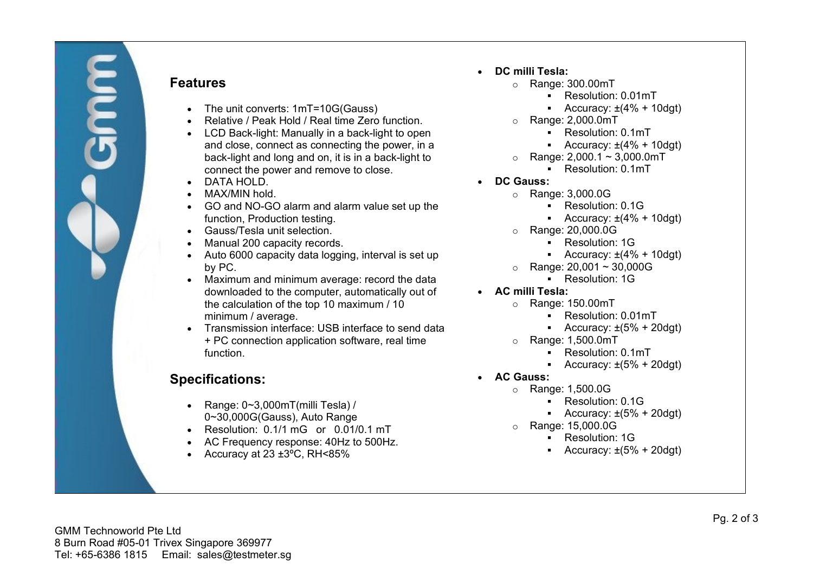

#### **Features**

- The unit converts: 1mT=10G(Gauss)
- Relative / Peak Hold / Real time Zero function.
- LCD Back-light: Manually in a back-light to open and close, connect as connecting the power, in a back-light and long and on, it is in a back-light to connect the power and remove to close.
- DATA HOLD.
- MAX/MIN hold.
- GO and NO-GO alarm and alarm value set up the function, Production testing.
- Gauss/Tesla unit selection.
- Manual 200 capacity records.
- Auto 6000 capacity data logging, interval is set up by PC.
- Maximum and minimum average: record the data downloaded to the computer, automatically out of the calculation of the top 10 maximum / 10 minimum / average.
- Transmission interface: USB interface to send data + PC connection application software, real time function.

## **Specifications:**

- Range: 0~3,000mT(milli Tesla) / 0~30,000G(Gauss), Auto Range
- Resolution: 0.1/1 mG or 0.01/0.1 mT
- AC Frequency response: 40Hz to 500Hz.
- Accuracy at  $23 \pm 3$ °C, RH<85%
- **DC milli Tesla:**
	- o Range: 300.00mT
		- **Resolution: 0.01mT**
		- Accuracy:  $\pm(4\% + 10\text{dgt})$
	- o Range: 2,000.0mT
		- **Resolution: 0.1mT**
		- Accuracy:  $\pm(4\% + 10\text{dgt})$
	- $\circ$  Range: 2,000.1 ~ 3,000.0mT
		- **Resolution: 0.1mT**
- **DC Gauss:**
	- o Range: 3,000.0G
		- **Resolution: 0.1G**
		- Accuracy:  $\pm(4\% + 10\text{dgt})$
	- o Range: 20,000.0G
		- **Resolution: 1G**
		- Accuracy:  $\pm(4\% + 10\text{dgt})$
	- $\circ$  Range: 20,001 ~ 30,000G
		- **Resolution: 1G**
- **AC milli Tesla:**
	- $\circ$  Range: 150.00mT
		- **Resolution: 0.01mT**
		- Accuracy:  $\pm(5\% + 20\text{dgt})$
	- o Range: 1,500.0mT
		- **Resolution: 0.1mT**
		- Accuracy:  $\pm(5\% + 20\text{dgt})$
- **AC Gauss:**
	- o Range: 1,500.0G
		- **Resolution: 0.1G**
		- Accuracy:  $\pm(5\% + 20\text{dgt})$
	- o Range: 15,000.0G
		- **Resolution: 1G**
		- Accuracy:  $\pm(5\% + 20\text{dgt})$